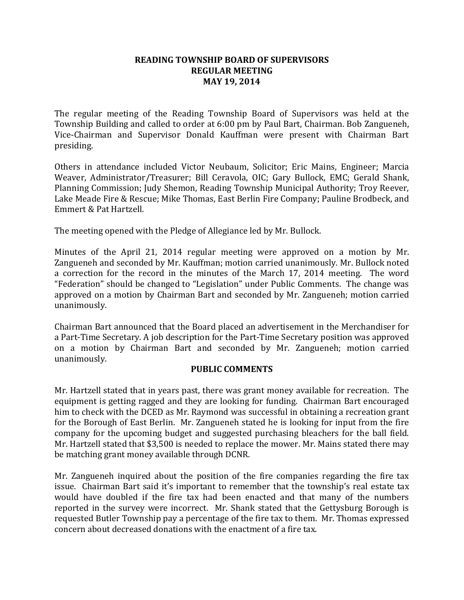## **READING TOWNSHIP BOARD OF SUPERVISORS REGULAR MEETING MAY 19, 2014**

The regular meeting of the Reading Township Board of Supervisors was held at the Township Building and called to order at 6:00 pm by Paul Bart, Chairman. Bob Zangueneh, Vice-Chairman and Supervisor Donald Kauffman were present with Chairman Bart presiding.

Others in attendance included Victor Neubaum, Solicitor; Eric Mains, Engineer; Marcia Weaver, Administrator/Treasurer; Bill Ceravola, OIC; Gary Bullock, EMC; Gerald Shank, Planning Commission; Judy Shemon, Reading Township Municipal Authority; Troy Reever, Lake Meade Fire & Rescue; Mike Thomas, East Berlin Fire Company; Pauline Brodbeck, and Emmert & Pat Hartzell.

The meeting opened with the Pledge of Allegiance led by Mr. Bullock.

Minutes of the April 21, 2014 regular meeting were approved on a motion by Mr. Zangueneh and seconded by Mr. Kauffman; motion carried unanimously. Mr. Bullock noted a correction for the record in the minutes of the March 17, 2014 meeting. The word "Federation" should be changed to "Legislation" under Public Comments. The change was approved on a motion by Chairman Bart and seconded by Mr. Zangueneh; motion carried unanimously.

Chairman Bart announced that the Board placed an advertisement in the Merchandiser for a Part-Time Secretary. A job description for the Part-Time Secretary position was approved on a motion by Chairman Bart and seconded by Mr. Zangueneh; motion carried unanimously.

### **PUBLIC COMMENTS**

Mr. Hartzell stated that in years past, there was grant money available for recreation. The equipment is getting ragged and they are looking for funding. Chairman Bart encouraged him to check with the DCED as Mr. Raymond was successful in obtaining a recreation grant for the Borough of East Berlin. Mr. Zangueneh stated he is looking for input from the fire company for the upcoming budget and suggested purchasing bleachers for the ball field. Mr. Hartzell stated that \$3,500 is needed to replace the mower. Mr. Mains stated there may be matching grant money available through DCNR.

Mr. Zangueneh inquired about the position of the fire companies regarding the fire tax issue. Chairman Bart said it's important to remember that the township's real estate tax would have doubled if the fire tax had been enacted and that many of the numbers reported in the survey were incorrect. Mr. Shank stated that the Gettysburg Borough is requested Butler Township pay a percentage of the fire tax to them. Mr. Thomas expressed concern about decreased donations with the enactment of a fire tax.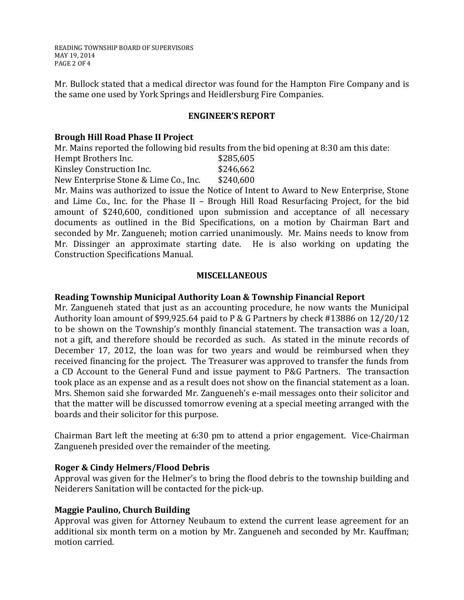READING TOWNSHIP BOARD OF SUPERVISORS MAY 19, 2014 PAGE 2 OF 4

Mr. Bullock stated that a medical director was found for the Hampton Fire Company and is the same one used by York Springs and Heidlersburg Fire Companies.

## **ENGINEER'S REPORT**

### **Brough Hill Road Phase II Project**

Mr. Mains reported the following bid results from the bid opening at 8:30 am this date:

| Hempt Brothers Inc.       | \$285,605 |
|---------------------------|-----------|
| Kinsley Construction Inc. | \$246,662 |

New Enterprise Stone & Lime Co., Inc. \$240,600

Mr. Mains was authorized to issue the Notice of Intent to Award to New Enterprise, Stone and Lime Co., Inc. for the Phase II – Brough Hill Road Resurfacing Project, for the bid amount of \$240,600, conditioned upon submission and acceptance of all necessary documents as outlined in the Bid Specifications, on a motion by Chairman Bart and seconded by Mr. Zangueneh; motion carried unanimously. Mr. Mains needs to know from Mr. Dissinger an approximate starting date. He is also working on updating the Construction Specifications Manual.

## **MISCELLANEOUS**

## **Reading Township Municipal Authority Loan & Township Financial Report**

Mr. Zangueneh stated that just as an accounting procedure, he now wants the Municipal Authority loan amount of \$99,925.64 paid to P & G Partners by check #13886 on 12/20/12 to be shown on the Township's monthly financial statement. The transaction was a loan, not a gift, and therefore should be recorded as such. As stated in the minute records of December 17, 2012, the loan was for two years and would be reimbursed when they received financing for the project. The Treasurer was approved to transfer the funds from a CD Account to the General Fund and issue payment to P&G Partners. The transaction took place as an expense and as a result does not show on the financial statement as a loan. Mrs. Shemon said she forwarded Mr. Zangueneh's e-mail messages onto their solicitor and that the matter will be discussed tomorrow evening at a special meeting arranged with the boards and their solicitor for this purpose.

Chairman Bart left the meeting at 6:30 pm to attend a prior engagement. Vice-Chairman Zangueneh presided over the remainder of the meeting.

### **Roger & Cindy Helmers/Flood Debris**

Approval was given for the Helmer's to bring the flood debris to the township building and Neiderers Sanitation will be contacted for the pick-up.

# **Maggie Paulino, Church Building**

Approval was given for Attorney Neubaum to extend the current lease agreement for an additional six month term on a motion by Mr. Zangueneh and seconded by Mr. Kauffman; motion carried.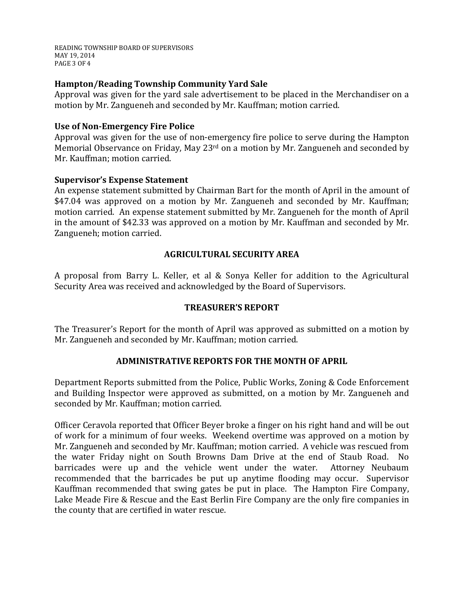READING TOWNSHIP BOARD OF SUPERVISORS MAY 19, 2014 PAGE 3 OF 4

## **Hampton/Reading Township Community Yard Sale**

Approval was given for the yard sale advertisement to be placed in the Merchandiser on a motion by Mr. Zangueneh and seconded by Mr. Kauffman; motion carried.

## **Use of Non-Emergency Fire Police**

Approval was given for the use of non-emergency fire police to serve during the Hampton Memorial Observance on Friday, May 23rd on a motion by Mr. Zangueneh and seconded by Mr. Kauffman; motion carried.

### **Supervisor's Expense Statement**

An expense statement submitted by Chairman Bart for the month of April in the amount of \$47.04 was approved on a motion by Mr. Zangueneh and seconded by Mr. Kauffman; motion carried. An expense statement submitted by Mr. Zangueneh for the month of April in the amount of \$42.33 was approved on a motion by Mr. Kauffman and seconded by Mr. Zangueneh; motion carried.

## **AGRICULTURAL SECURITY AREA**

A proposal from Barry L. Keller, et al & Sonya Keller for addition to the Agricultural Security Area was received and acknowledged by the Board of Supervisors.

# **TREASURER'S REPORT**

The Treasurer's Report for the month of April was approved as submitted on a motion by Mr. Zangueneh and seconded by Mr. Kauffman; motion carried.

# **ADMINISTRATIVE REPORTS FOR THE MONTH OF APRIL**

Department Reports submitted from the Police, Public Works, Zoning & Code Enforcement and Building Inspector were approved as submitted, on a motion by Mr. Zangueneh and seconded by Mr. Kauffman; motion carried.

Officer Ceravola reported that Officer Beyer broke a finger on his right hand and will be out of work for a minimum of four weeks. Weekend overtime was approved on a motion by Mr. Zangueneh and seconded by Mr. Kauffman; motion carried. A vehicle was rescued from the water Friday night on South Browns Dam Drive at the end of Staub Road. No the water Friday night on South Browns Dam Drive at the end of Staub Road. No barricades were up and the vehicle went under the water. recommended that the barricades be put up anytime flooding may occur. Supervisor Kauffman recommended that swing gates be put in place. The Hampton Fire Company, Lake Meade Fire & Rescue and the East Berlin Fire Company are the only fire companies in the county that are certified in water rescue.